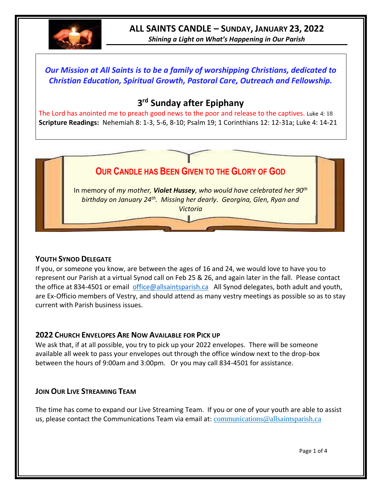

*Shining a Light on What's Happening in Our Parish*

## *Our Mission at All Saints is to be a family of worshipping Christians, dedicated to Christian Education, Spiritual Growth, Pastoral Care, Outreach and Fellowship.*

# **3 rd Sunday after Epiphany**

The Lord has anointed me to preach good news to the poor and release to the captives. Luke 4: 18 **Scripture Readings:** Nehemiah 8: 1-3, 5-6, 8-10; Psalm 19; 1 Corinthians 12: 12-31a; Luke 4: 14-21

# **OUR CANDLE HAS BEEN GIVEN TO THE GLORY OF GOD**

In memory of *my mother, Violet Hussey, who would have celebrated her 90th birthday on January 24th. Missing her dearly. Georgina, Glen, Ryan and Victoria*

#### **YOUTH SYNOD DELEGATE**

If you, or someone you know, are between the ages of 16 and 24, we would love to have you to represent our Parish at a virtual Synod call on Feb 25 & 26, and again later in the fall. Please contact the office at 834-4501 or email [office@allsaintsparish.ca](mailto:office@allsaintsparish.ca) All Synod delegates, both adult and youth, are Ex-Officio members of Vestry, and should attend as many vestry meetings as possible so as to stay current with Parish business issues.

#### **2022 CHURCH ENVELOPES ARE NOW AVAILABLE FOR PICK UP**

We ask that, if at all possible, you try to pick up your 2022 envelopes. There will be someone available all week to pass your envelopes out through the office window next to the drop-box between the hours of 9:00am and 3:00pm. Or you may call 834-4501 for assistance.

#### **JOIN OUR LIVE STREAMING TEAM**

The time has come to expand our Live Streaming Team. If you or one of your youth are able to assist us, please contact the Communications Team via email at: [communications@allsaintsparish.ca](mailto:communications@allsaintsparish.ca?subject=Live%20Streaming%20Team)

Page 1 of 4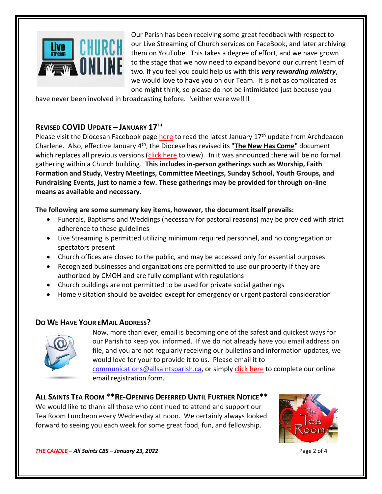

Our Parish has been receiving some great feedback with respect to our Live Streaming of Church services on FaceBook, and later archiving them on YouTube. This takes a degree of effort, and we have grown to the stage that we now need to expand beyond our current Team of two. If you feel you could help us with this *very rewarding ministry*, we would love to have you on our Team. It is not as complicated as one might think, so please do not be intimidated just because you

have never been involved in broadcasting before. Neither were we!!!!

#### **REVISED COVID UPDATE – JANUARY 17TH**

Please visit the Diocesan Facebook page [here](https://www.facebook.com/AnglicanEastNL) to read the latest January 17<sup>th</sup> update from Archdeacon Charlene. Also, effective January 4th, the Diocese has revised its "**[The New Has Come](https://anglicanenl.net/home/wp-content/uploads/2022/01/Guidelines-under-Modified-Level-4-January-4-2022.pdf)**" document which replaces all previous versions [\(click here](https://anglicanenl.net/home/wp-content/uploads/2022/01/Guidelines-under-Modified-Level-4-January-4-2022.pdf) to view). In it was announced there will be no formal gathering within a Church building. **This includes in-person gatherings such as Worship, Faith Formation and Study, Vestry Meetings, Committee Meetings, Sunday School, Youth Groups, and Fundraising Events, just to name a few. These gatherings may be provided for through on-line means as available and necessary.**

#### **The following are some summary key items, however, the document itself prevails:**

- Funerals, Baptisms and Weddings (necessary for pastoral reasons) may be provided with strict adherence to these guidelines
- Live Streaming is permitted utilizing minimum required personnel, and no congregation or spectators present
- Church offices are closed to the public, and may be accessed only for essential purposes
- Recognized businesses and organizations are permitted to use our property if they are authorized by CMOH and are fully compliant with regulations
- Church buildings are not permitted to be used for private social gatherings
- Home visitation should be avoided except for emergency or urgent pastoral consideration

#### **DO WE HAVE YOUR EMAIL ADDRESS?**



Now, more than ever, email is becoming one of the safest and quickest ways for our Parish to keep you informed. If we do not already have you email address on file, and you are not regularly receiving our bulletins and information updates, we would love for your to provide it to us. Please email it to [communications@allsaintsparish.ca,](mailto:communications@allsaintsparish.ca?subject=eMail%20Address%20Update) or simply [click here](http://allsaintsparish.ca/email_updates) to complete our online

email registration form.

# **ALL SAINTS TEA ROOM \*\*RE-OPENING DEFERRED UNTIL FURTHER NOTICE\*\***

We would like to thank all those who continued to attend and support our Tea Room Luncheon every Wednesday at noon. We certainly always looked forward to seeing you each week for some great food, fun, and fellowship.



*THE CANDLE – All Saints CBS – January 23, 2022* Page 2 of 4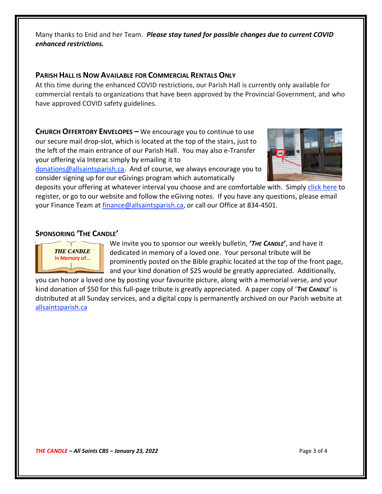Many thanks to Enid and her Team. *Please stay tuned for possible changes due to current COVID enhanced restrictions.*

#### **PARISH HALL IS NOW AVAILABLE FOR COMMERCIAL RENTALS ONLY**

At this time during the enhanced COVID restrictions, our Parish Hall is currently only available for commercial rentals to organizations that have been approved by the Provincial Government, and who have approved COVID safety guidelines.

**CHURCH OFFERTORY ENVELOPES –** We encourage you to continue to use our secure mail drop-slot, which is located at the top of the stairs, just to the left of the main entrance of our Parish Hall. You may also e-Transfer your offering via Interac simply by emailing it to

[donations@allsaintsparish.ca.](mailto:donations@allsaintsparish.ca) And of course, we always encourage you to consider signing up for our eGivings program which automatically



deposits your offering at whatever interval you choose and are comfortable with. Simply [click here](http://allsaintsparish.ca/egiving-online-information-form) to register, or go to our website and follow the eGiving notes. If you have [any](https://wfsites-to.websitecreatorprotool.com/870a5dd5.com/Admin/%7BSK_NODEID__22939341__SK%7D) questions, please email your Finance Team at [finance@allsaintsparish.ca,](mailto:finance@allsaintsparish.ca) or call our Office at 834-4501.

#### **SPONSORING 'THE CANDLE'**



We invite you to sponsor our weekly bulletin, **'***THE CANDLE***'**, and have it dedicated in memory of a loved one. Your personal tribute will be prominently posted on the Bible graphic located at the top of the front page, and your kind donation of \$25 would be greatly appreciated. Additionally,

you can honor a loved one by posting your favourite picture, along with a memorial verse, and your kind donation of \$50 for this full-page tribute is greatly appreciated. A paper copy of '*THE CANDLE*' is distributed at all Sunday services, and a digital copy is permanently archived on our Parish website at [allsaintsparish.ca](http://allsaintsparish.ca/thecandle.html)